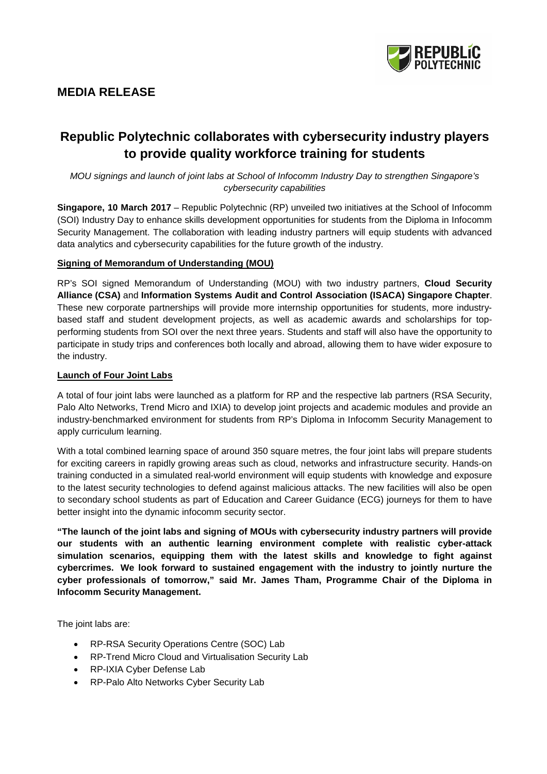

# **MEDIA RELEASE**

# **Republic Polytechnic collaborates with cybersecurity industry players to provide quality workforce training for students**

*MOU signings and launch of joint labs at School of Infocomm Industry Day to strengthen Singapore's cybersecurity capabilities* 

**Singapore, 10 March 2017** – Republic Polytechnic (RP) unveiled two initiatives at the School of Infocomm (SOI) Industry Day to enhance skills development opportunities for students from the Diploma in Infocomm Security Management. The collaboration with leading industry partners will equip students with advanced data analytics and cybersecurity capabilities for the future growth of the industry.

# **Signing of Memorandum of Understanding (MOU)**

RP's SOI signed Memorandum of Understanding (MOU) with two industry partners, **Cloud Security Alliance (CSA)** and **Information Systems Audit and Control Association (ISACA) Singapore Chapter**. These new corporate partnerships will provide more internship opportunities for students, more industrybased staff and student development projects, as well as academic awards and scholarships for topperforming students from SOI over the next three years. Students and staff will also have the opportunity to participate in study trips and conferences both locally and abroad, allowing them to have wider exposure to the industry.

#### **Launch of Four Joint Labs**

A total of four joint labs were launched as a platform for RP and the respective lab partners (RSA Security, Palo Alto Networks, Trend Micro and IXIA) to develop joint projects and academic modules and provide an industry-benchmarked environment for students from RP's Diploma in Infocomm Security Management to apply curriculum learning.

With a total combined learning space of around 350 square metres, the four joint labs will prepare students for exciting careers in rapidly growing areas such as cloud, networks and infrastructure security. Hands-on training conducted in a simulated real-world environment will equip students with knowledge and exposure to the latest security technologies to defend against malicious attacks. The new facilities will also be open to secondary school students as part of Education and Career Guidance (ECG) journeys for them to have better insight into the dynamic infocomm security sector.

**"The launch of the joint labs and signing of MOUs with cybersecurity industry partners will provide our students with an authentic learning environment complete with realistic cyber-attack simulation scenarios, equipping them with the latest skills and knowledge to fight against cybercrimes. We look forward to sustained engagement with the industry to jointly nurture the cyber professionals of tomorrow," said Mr. James Tham, Programme Chair of the Diploma in Infocomm Security Management.** 

The joint labs are:

- RP-RSA Security Operations Centre (SOC) Lab
- RP-Trend Micro Cloud and Virtualisation Security Lab
- RP-IXIA Cyber Defense Lab
- RP-Palo Alto Networks Cyber Security Lab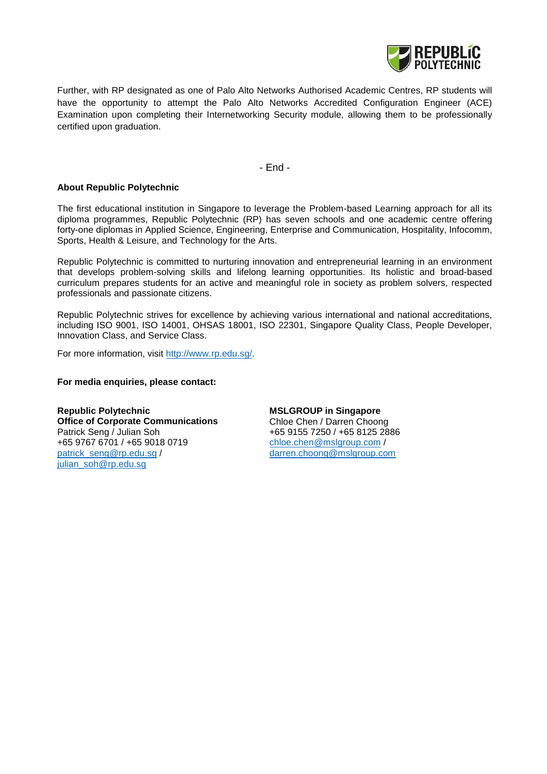

Further, with RP designated as one of Palo Alto Networks Authorised Academic Centres, RP students will have the opportunity to attempt the Palo Alto Networks Accredited Configuration Engineer (ACE) Examination upon completing their Internetworking Security module, allowing them to be professionally certified upon graduation.

- End -

# **About Republic Polytechnic**

The first educational institution in Singapore to leverage the Problem-based Learning approach for all its diploma programmes, Republic Polytechnic (RP) has seven schools and one academic centre offering forty-one diplomas in Applied Science, Engineering, Enterprise and Communication, Hospitality, Infocomm, Sports, Health & Leisure, and Technology for the Arts.

Republic Polytechnic is committed to nurturing innovation and entrepreneurial learning in an environment that develops problem-solving skills and lifelong learning opportunities. Its holistic and broad-based curriculum prepares students for an active and meaningful role in society as problem solvers, respected professionals and passionate citizens.

Republic Polytechnic strives for excellence by achieving various international and national accreditations, including ISO 9001, ISO 14001, OHSAS 18001, ISO 22301, Singapore Quality Class, People Developer, Innovation Class, and Service Class.

For more information, visit [http://www.rp.edu.sg/.](http://www.rp.edu.sg/)

#### **For media enquiries, please contact:**

**Republic Polytechnic Office of Corporate Communications** Patrick Seng / Julian Soh +65 9767 6701 / +65 9018 0719 [patrick\\_seng@rp.edu.sg](mailto:patrick_seng@rp.edu.sg) / [julian\\_soh@rp.edu.sg](mailto:julian_soh@rp.edu.sg)

**MSLGROUP in Singapore** Chloe Chen / Darren Choong +65 9155 7250 / +65 8125 2886 [chloe.chen@mslgroup.com](mailto:chloe.chen@mslgroup.com) / darren.choong@mslgroup.com